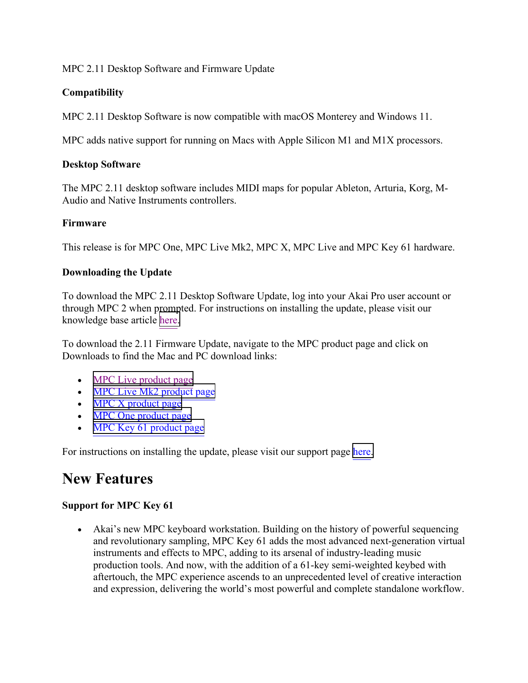# MPC 2.11 Desktop Software and Firmware Update

# **Compatibility**

MPC 2.11 Desktop Software is now compatible with macOS Monterey and Windows 11.

MPC adds native support for running on Macs with Apple Silicon M1 and M1X processors.

# **Desktop Software**

The MPC 2.11 desktop software includes MIDI maps for popular Ableton, Arturia, Korg, M-Audio and Native Instruments controllers.

# **Firmware**

This release is for MPC One, MPC Live Mk2, MPC X, MPC Live and MPC Key 61 hardware.

# **Downloading the Update**

To download the MPC 2.11 Desktop Software Update, log into your Akai Pro user account or through MPC 2 when prompted. For instructions on installing the update, please visit our knowledge base article [here.](https://support.akaipro.com/en/support/solutions/articles/69000816160-akai-pro-mpc-firmware-update-walkthrough) 

To download the 2.11 Firmware Update, navigate to the MPC product page and click on Downloads to find the Mac and PC download links:

- [MPC Live product page](https://www.akaipro.com/mpc-live)
- [MPC Live Mk2 product page](https://www.akaipro.com/mpcliveii)
- [MPC X product page](https://www.akaipro.com/mpc-x)
- [MPC One product page](https://www.akaipro.com/mpc-one)
- [MPC Key 61 product page](https://www.akaipro.com/mpc-key-61)

For instructions on installing the update, please visit our support page [here.](https://support.akaipro.com/en/support/solutions/articles/69000816160-akai-pro-mpc-firmware-update-walkthrough)

# **New Features**

# **Support for MPC Key 61**

• Akai's new MPC keyboard workstation. Building on the history of powerful sequencing and revolutionary sampling, MPC Key 61 adds the most advanced next-generation virtual instruments and effects to MPC, adding to its arsenal of industry-leading music production tools. And now, with the addition of a 61-key semi-weighted keybed with aftertouch, the MPC experience ascends to an unprecedented level of creative interaction and expression, delivering the world's most powerful and complete standalone workflow.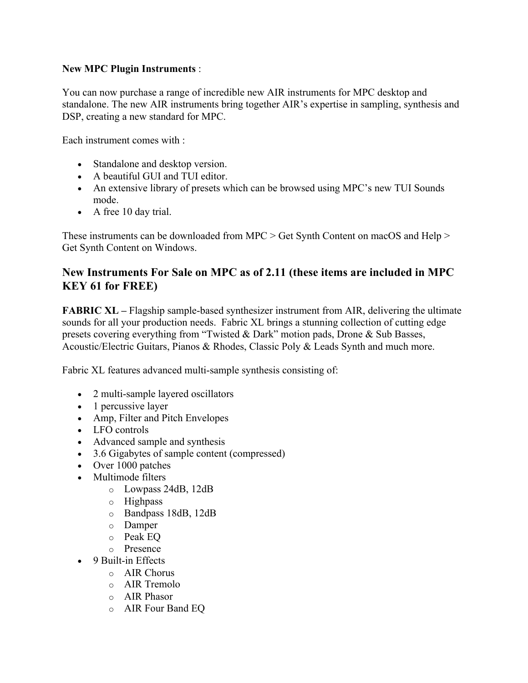### **New MPC Plugin Instruments** :

You can now purchase a range of incredible new AIR instruments for MPC desktop and standalone. The new AIR instruments bring together AIR's expertise in sampling, synthesis and DSP, creating a new standard for MPC.

Each instrument comes with :

- Standalone and desktop version.
- A beautiful GUI and TUI editor.
- An extensive library of presets which can be browsed using MPC's new TUI Sounds mode.
- A free 10 day trial.

These instruments can be downloaded from MPC > Get Synth Content on macOS and Help > Get Synth Content on Windows.

# **New Instruments For Sale on MPC as of 2.11 (these items are included in MPC KEY 61 for FREE)**

**FABRIC XL** – Flagship sample-based synthesizer instrument from AIR, delivering the ultimate sounds for all your production needs. Fabric XL brings a stunning collection of cutting edge presets covering everything from "Twisted & Dark" motion pads, Drone & Sub Basses, Acoustic/Electric Guitars, Pianos & Rhodes, Classic Poly & Leads Synth and much more.

Fabric XL features advanced multi-sample synthesis consisting of:

- 2 multi-sample layered oscillators
- 1 percussive layer
- Amp, Filter and Pitch Envelopes
- LFO controls
- Advanced sample and synthesis
- 3.6 Gigabytes of sample content (compressed)
- Over 1000 patches
- Multimode filters
	- o Lowpass 24dB, 12dB
	- o Highpass
	- o Bandpass 18dB, 12dB
	- o Damper
	- o Peak EQ
	- o Presence
- 9 Built-in Effects
	- o AIR Chorus
	- o AIR Tremolo
	- o AIR Phasor
	- o AIR Four Band EQ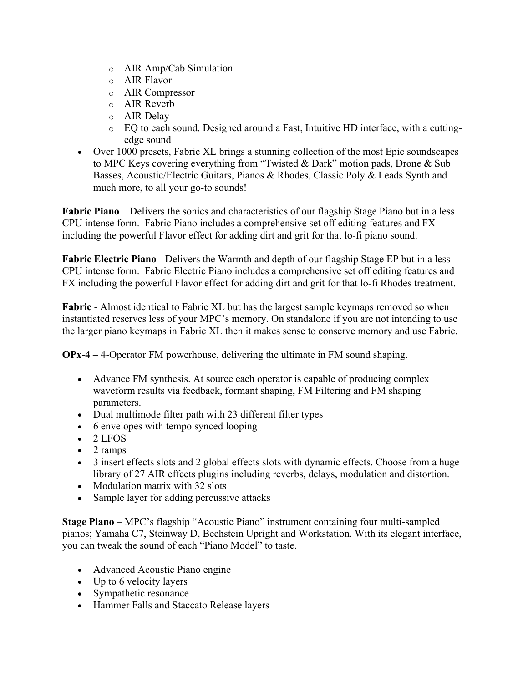- o AIR Amp/Cab Simulation
- o AIR Flavor
- o AIR Compressor
- o AIR Reverb
- o AIR Delay
- o EQ to each sound. Designed around a Fast, Intuitive HD interface, with a cuttingedge sound
- Over 1000 presets, Fabric XL brings a stunning collection of the most Epic soundscapes to MPC Keys covering everything from "Twisted & Dark" motion pads, Drone & Sub Basses, Acoustic/Electric Guitars, Pianos & Rhodes, Classic Poly & Leads Synth and much more, to all your go-to sounds!

**Fabric Piano** – Delivers the sonics and characteristics of our flagship Stage Piano but in a less CPU intense form. Fabric Piano includes a comprehensive set off editing features and FX including the powerful Flavor effect for adding dirt and grit for that lo-fi piano sound.

**Fabric Electric Piano** - Delivers the Warmth and depth of our flagship Stage EP but in a less CPU intense form. Fabric Electric Piano includes a comprehensive set off editing features and FX including the powerful Flavor effect for adding dirt and grit for that lo-fi Rhodes treatment.

**Fabric** - Almost identical to Fabric XL but has the largest sample keymaps removed so when instantiated reserves less of your MPC's memory. On standalone if you are not intending to use the larger piano keymaps in Fabric XL then it makes sense to conserve memory and use Fabric.

**OPx-4 –** 4-Operator FM powerhouse, delivering the ultimate in FM sound shaping.

- Advance FM synthesis. At source each operator is capable of producing complex waveform results via feedback, formant shaping, FM Filtering and FM shaping parameters.
- Dual multimode filter path with 23 different filter types
- 6 envelopes with tempo synced looping
- 2 LFOS
- 2 ramps
- 3 insert effects slots and 2 global effects slots with dynamic effects. Choose from a huge library of 27 AIR effects plugins including reverbs, delays, modulation and distortion.
- Modulation matrix with 32 slots
- Sample layer for adding percussive attacks

**Stage Piano** – MPC's flagship "Acoustic Piano" instrument containing four multi-sampled pianos; Yamaha C7, Steinway D, Bechstein Upright and Workstation. With its elegant interface, you can tweak the sound of each "Piano Model" to taste.

- Advanced Acoustic Piano engine
- Up to 6 velocity layers
- Sympathetic resonance
- Hammer Falls and Staccato Release layers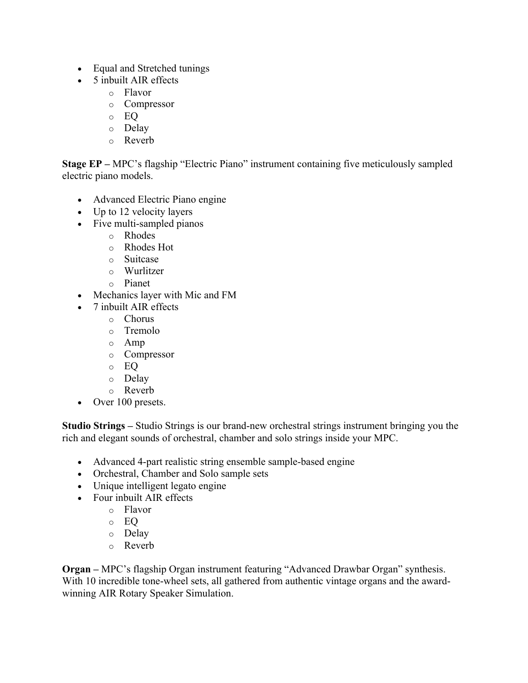- Equal and Stretched tunings
- 5 inbuilt AIR effects
	- o Flavor
	- o Compressor
	- o EQ
	- o Delay
	- o Reverb

**Stage EP –** MPC's flagship "Electric Piano" instrument containing five meticulously sampled electric piano models.

- Advanced Electric Piano engine
- Up to 12 velocity layers
- Five multi-sampled pianos
	- o Rhodes
	- o Rhodes Hot
	- o Suitcase
	- o Wurlitzer
	- o Pianet
- Mechanics layer with Mic and FM
- 7 inbuilt AIR effects
	- o Chorus
	- o Tremolo
	- o Amp
	- o Compressor
	- o EQ
	- o Delay
	- o Reverb
- Over 100 presets.

**Studio Strings –** Studio Strings is our brand-new orchestral strings instrument bringing you the rich and elegant sounds of orchestral, chamber and solo strings inside your MPC.

- Advanced 4-part realistic string ensemble sample-based engine
- Orchestral, Chamber and Solo sample sets
- Unique intelligent legato engine
- Four inbuilt AIR effects
	- o Flavor
		- o EQ
		- o Delay
		- o Reverb

**Organ –** MPC's flagship Organ instrument featuring "Advanced Drawbar Organ" synthesis. With 10 incredible tone-wheel sets, all gathered from authentic vintage organs and the awardwinning AIR Rotary Speaker Simulation.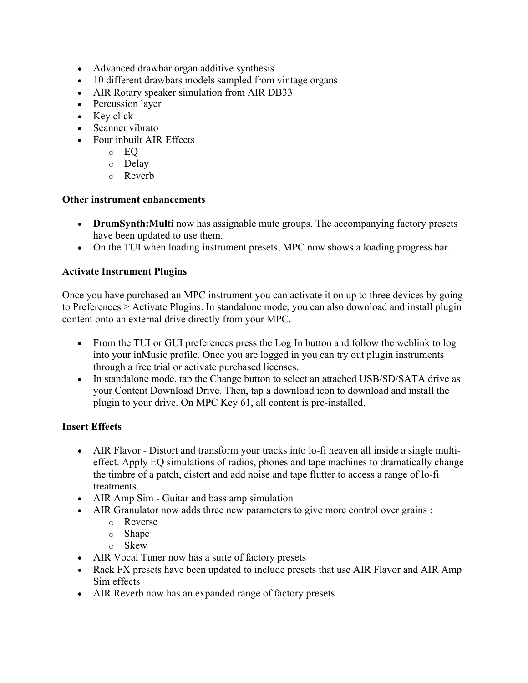- Advanced drawbar organ additive synthesis
- 10 different drawbars models sampled from vintage organs
- AIR Rotary speaker simulation from AIR DB33
- Percussion layer
- Key click
- Scanner vibrato
- Four inbuilt AIR Effects
	- o EQ
	- o Delay
	- o Reverb

#### **Other instrument enhancements**

- **DrumSynth:Multi** now has assignable mute groups. The accompanying factory presets have been updated to use them.
- On the TUI when loading instrument presets, MPC now shows a loading progress bar.

# **Activate Instrument Plugins**

Once you have purchased an MPC instrument you can activate it on up to three devices by going to Preferences > Activate Plugins. In standalone mode, you can also download and install plugin content onto an external drive directly from your MPC.

- From the TUI or GUI preferences press the Log In button and follow the weblink to log into your inMusic profile. Once you are logged in you can try out plugin instruments through a free trial or activate purchased licenses.
- In standalone mode, tap the Change button to select an attached USB/SD/SATA drive as your Content Download Drive. Then, tap a download icon to download and install the plugin to your drive. On MPC Key 61, all content is pre-installed.

# **Insert Effects**

- AIR Flavor Distort and transform your tracks into lo-fi heaven all inside a single multieffect. Apply EQ simulations of radios, phones and tape machines to dramatically change the timbre of a patch, distort and add noise and tape flutter to access a range of lo-fi treatments.
- AIR Amp Sim Guitar and bass amp simulation
- AIR Granulator now adds three new parameters to give more control over grains :
	- o Reverse
	- o Shape
	- o Skew
- AIR Vocal Tuner now has a suite of factory presets
- Rack FX presets have been updated to include presets that use AIR Flavor and AIR Amp Sim effects
- AIR Reverb now has an expanded range of factory presets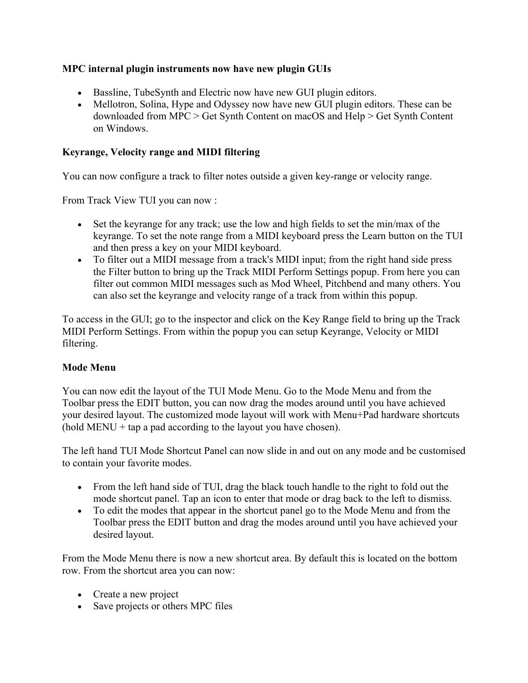# **MPC internal plugin instruments now have new plugin GUIs**

- Bassline, TubeSynth and Electric now have new GUI plugin editors.
- Mellotron, Solina, Hype and Odyssey now have new GUI plugin editors. These can be downloaded from MPC > Get Synth Content on macOS and Help > Get Synth Content on Windows.

# **Keyrange, Velocity range and MIDI filtering**

You can now configure a track to filter notes outside a given key-range or velocity range.

From Track View TUI you can now :

- Set the keyrange for any track; use the low and high fields to set the min/max of the keyrange. To set the note range from a MIDI keyboard press the Learn button on the TUI and then press a key on your MIDI keyboard.
- To filter out a MIDI message from a track's MIDI input; from the right hand side press the Filter button to bring up the Track MIDI Perform Settings popup. From here you can filter out common MIDI messages such as Mod Wheel, Pitchbend and many others. You can also set the keyrange and velocity range of a track from within this popup.

To access in the GUI; go to the inspector and click on the Key Range field to bring up the Track MIDI Perform Settings. From within the popup you can setup Keyrange, Velocity or MIDI filtering.

# **Mode Menu**

You can now edit the layout of the TUI Mode Menu. Go to the Mode Menu and from the Toolbar press the EDIT button, you can now drag the modes around until you have achieved your desired layout. The customized mode layout will work with Menu+Pad hardware shortcuts  $(hold MENU + tap a pad according to the layout you have chosen).$ 

The left hand TUI Mode Shortcut Panel can now slide in and out on any mode and be customised to contain your favorite modes.

- From the left hand side of TUI, drag the black touch handle to the right to fold out the mode shortcut panel. Tap an icon to enter that mode or drag back to the left to dismiss.
- To edit the modes that appear in the shortcut panel go to the Mode Menu and from the Toolbar press the EDIT button and drag the modes around until you have achieved your desired layout.

From the Mode Menu there is now a new shortcut area. By default this is located on the bottom row. From the shortcut area you can now:

- Create a new project
- Save projects or others MPC files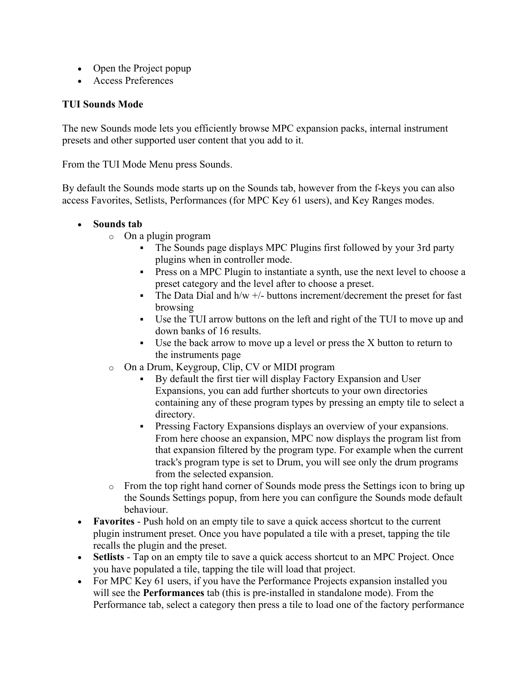- Open the Project popup
- Access Preferences

### **TUI Sounds Mode**

The new Sounds mode lets you efficiently browse MPC expansion packs, internal instrument presets and other supported user content that you add to it.

From the TUI Mode Menu press Sounds.

By default the Sounds mode starts up on the Sounds tab, however from the f-keys you can also access Favorites, Setlists, Performances (for MPC Key 61 users), and Key Ranges modes.

#### • **Sounds tab**

- o On a plugin program
	- The Sounds page displays MPC Plugins first followed by your 3rd party plugins when in controller mode.
	- Press on a MPC Plugin to instantiate a synth, use the next level to choose a preset category and the level after to choose a preset.
	- The Data Dial and  $h/w +/$  buttons increment/decrement the preset for fast browsing
	- § Use the TUI arrow buttons on the left and right of the TUI to move up and down banks of 16 results.
	- Use the back arrow to move up a level or press the X button to return to the instruments page
- o On a Drum, Keygroup, Clip, CV or MIDI program
	- § By default the first tier will display Factory Expansion and User Expansions, you can add further shortcuts to your own directories containing any of these program types by pressing an empty tile to select a directory.
	- Pressing Factory Expansions displays an overview of your expansions. From here choose an expansion, MPC now displays the program list from that expansion filtered by the program type. For example when the current track's program type is set to Drum, you will see only the drum programs from the selected expansion.
- o From the top right hand corner of Sounds mode press the Settings icon to bring up the Sounds Settings popup, from here you can configure the Sounds mode default behaviour.
- **Favorites** Push hold on an empty tile to save a quick access shortcut to the current plugin instrument preset. Once you have populated a tile with a preset, tapping the tile recalls the plugin and the preset.
- **Setlists** Tap on an empty tile to save a quick access shortcut to an MPC Project. Once you have populated a tile, tapping the tile will load that project.
- For MPC Key 61 users, if you have the Performance Projects expansion installed you will see the **Performances** tab (this is pre-installed in standalone mode). From the Performance tab, select a category then press a tile to load one of the factory performance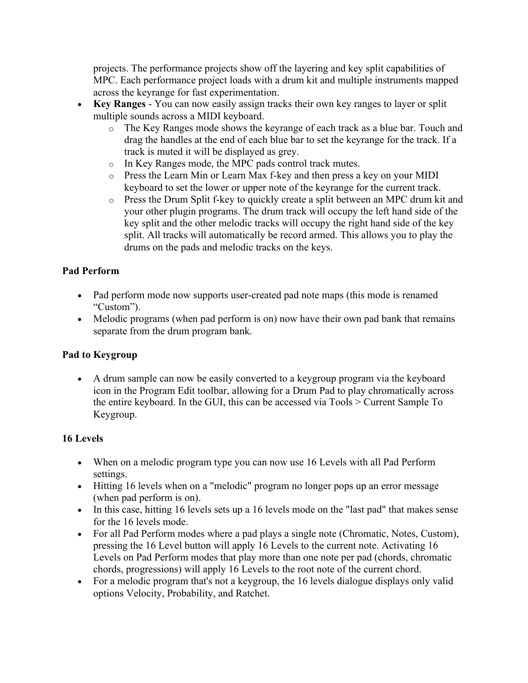projects. The performance projects show off the layering and key split capabilities of MPC. Each performance project loads with a drum kit and multiple instruments mapped across the keyrange for fast experimentation.

- **Key Ranges** You can now easily assign tracks their own key ranges to layer or split multiple sounds across a MIDI keyboard.
	- o The Key Ranges mode shows the keyrange of each track as a blue bar. Touch and drag the handles at the end of each blue bar to set the keyrange for the track. If a track is muted it will be displayed as grey.
	- o In Key Ranges mode, the MPC pads control track mutes.
	- o Press the Learn Min or Learn Max f-key and then press a key on your MIDI keyboard to set the lower or upper note of the keyrange for the current track.
	- o Press the Drum Split f-key to quickly create a split between an MPC drum kit and your other plugin programs. The drum track will occupy the left hand side of the key split and the other melodic tracks will occupy the right hand side of the key split. All tracks will automatically be record armed. This allows you to play the drums on the pads and melodic tracks on the keys.

# **Pad Perform**

- Pad perform mode now supports user-created pad note maps (this mode is renamed "Custom").
- Melodic programs (when pad perform is on) now have their own pad bank that remains separate from the drum program bank.

# **Pad to Keygroup**

• A drum sample can now be easily converted to a keygroup program via the keyboard icon in the Program Edit toolbar, allowing for a Drum Pad to play chromatically across the entire keyboard. In the GUI, this can be accessed via Tools > Current Sample To Keygroup.

# **16 Levels**

- When on a melodic program type you can now use 16 Levels with all Pad Perform settings.
- Hitting 16 levels when on a "melodic" program no longer pops up an error message (when pad perform is on).
- In this case, hitting 16 levels sets up a 16 levels mode on the "last pad" that makes sense for the 16 levels mode.
- For all Pad Perform modes where a pad plays a single note (Chromatic, Notes, Custom), pressing the 16 Level button will apply 16 Levels to the current note. Activating 16 Levels on Pad Perform modes that play more than one note per pad (chords, chromatic chords, progressions) will apply 16 Levels to the root note of the current chord.
- For a melodic program that's not a keygroup, the 16 levels dialogue displays only valid options Velocity, Probability, and Ratchet.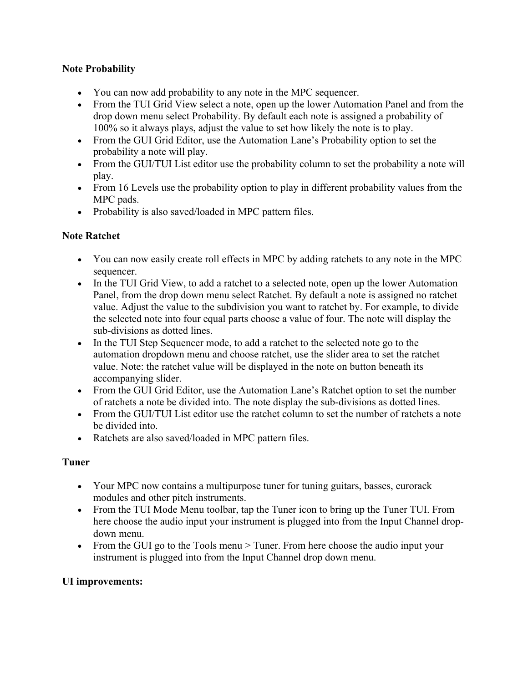# **Note Probability**

- You can now add probability to any note in the MPC sequencer.
- From the TUI Grid View select a note, open up the lower Automation Panel and from the drop down menu select Probability. By default each note is assigned a probability of 100% so it always plays, adjust the value to set how likely the note is to play.
- From the GUI Grid Editor, use the Automation Lane's Probability option to set the probability a note will play.
- From the GUI/TUI List editor use the probability column to set the probability a note will play.
- From 16 Levels use the probability option to play in different probability values from the MPC pads.
- Probability is also saved/loaded in MPC pattern files.

# **Note Ratchet**

- You can now easily create roll effects in MPC by adding ratchets to any note in the MPC sequencer.
- In the TUI Grid View, to add a ratchet to a selected note, open up the lower Automation Panel, from the drop down menu select Ratchet. By default a note is assigned no ratchet value. Adjust the value to the subdivision you want to ratchet by. For example, to divide the selected note into four equal parts choose a value of four. The note will display the sub-divisions as dotted lines.
- In the TUI Step Sequencer mode, to add a ratchet to the selected note go to the automation dropdown menu and choose ratchet, use the slider area to set the ratchet value. Note: the ratchet value will be displayed in the note on button beneath its accompanying slider.
- From the GUI Grid Editor, use the Automation Lane's Ratchet option to set the number of ratchets a note be divided into. The note display the sub-divisions as dotted lines.
- From the GUI/TUI List editor use the ratchet column to set the number of ratchets a note be divided into.
- Ratchets are also saved/loaded in MPC pattern files.

# **Tuner**

- Your MPC now contains a multipurpose tuner for tuning guitars, basses, eurorack modules and other pitch instruments.
- From the TUI Mode Menu toolbar, tap the Tuner icon to bring up the Tuner TUI. From here choose the audio input your instrument is plugged into from the Input Channel dropdown menu.
- From the GUI go to the Tools menu > Tuner. From here choose the audio input your instrument is plugged into from the Input Channel drop down menu.

# **UI improvements:**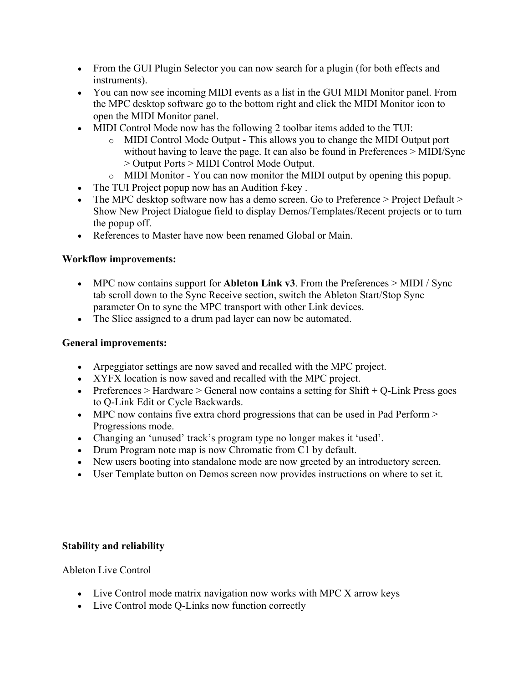- From the GUI Plugin Selector you can now search for a plugin (for both effects and instruments).
- You can now see incoming MIDI events as a list in the GUI MIDI Monitor panel. From the MPC desktop software go to the bottom right and click the MIDI Monitor icon to open the MIDI Monitor panel.
- MIDI Control Mode now has the following 2 toolbar items added to the TUI:
	- o MIDI Control Mode Output This allows you to change the MIDI Output port without having to leave the page. It can also be found in Preferences > MIDI/Sync > Output Ports > MIDI Control Mode Output.
	- o MIDI Monitor You can now monitor the MIDI output by opening this popup.
- The TUI Project popup now has an Audition f-key.
- The MPC desktop software now has a demo screen. Go to Preference > Project Default > Show New Project Dialogue field to display Demos/Templates/Recent projects or to turn the popup off.
- References to Master have now been renamed Global or Main.

### **Workflow improvements:**

- MPC now contains support for **Ableton Link v3**. From the Preferences > MIDI / Sync tab scroll down to the Sync Receive section, switch the Ableton Start/Stop Sync parameter On to sync the MPC transport with other Link devices.
- The Slice assigned to a drum pad layer can now be automated.

### **General improvements:**

- Arpeggiator settings are now saved and recalled with the MPC project.
- XYFX location is now saved and recalled with the MPC project.
- Preferences > Hardware > General now contains a setting for  $Shift + Q$ -Link Press goes to Q-Link Edit or Cycle Backwards.
- MPC now contains five extra chord progressions that can be used in Pad Perform > Progressions mode.
- Changing an 'unused' track's program type no longer makes it 'used'.
- Drum Program note map is now Chromatic from C1 by default.
- New users booting into standalone mode are now greeted by an introductory screen.
- User Template button on Demos screen now provides instructions on where to set it.

# **Stability and reliability**

Ableton Live Control

- Live Control mode matrix navigation now works with MPC X arrow keys
- Live Control mode Q-Links now function correctly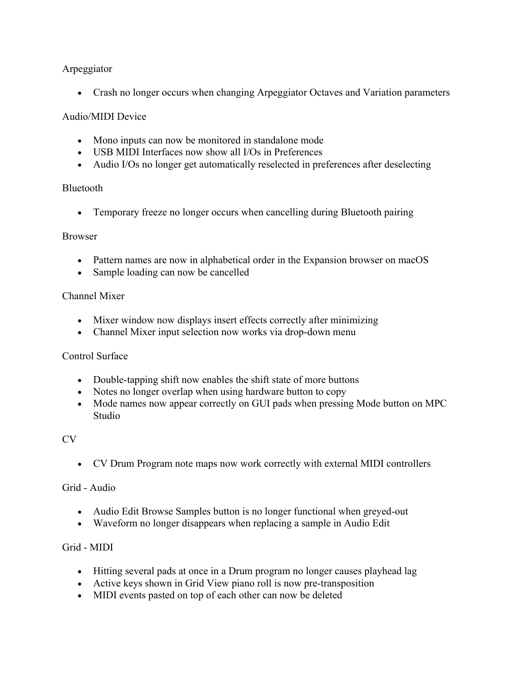# Arpeggiator

• Crash no longer occurs when changing Arpeggiator Octaves and Variation parameters

### Audio/MIDI Device

- Mono inputs can now be monitored in standalone mode
- USB MIDI Interfaces now show all I/Os in Preferences
- Audio I/Os no longer get automatically reselected in preferences after deselecting

#### Bluetooth

• Temporary freeze no longer occurs when cancelling during Bluetooth pairing

#### Browser

- Pattern names are now in alphabetical order in the Expansion browser on macOS
- Sample loading can now be cancelled

#### Channel Mixer

- Mixer window now displays insert effects correctly after minimizing
- Channel Mixer input selection now works via drop-down menu

#### Control Surface

- Double-tapping shift now enables the shift state of more buttons
- Notes no longer overlap when using hardware button to copy
- Mode names now appear correctly on GUI pads when pressing Mode button on MPC Studio

#### CV

• CV Drum Program note maps now work correctly with external MIDI controllers

#### Grid - Audio

- Audio Edit Browse Samples button is no longer functional when greyed-out
- Waveform no longer disappears when replacing a sample in Audio Edit

#### Grid - MIDI

- Hitting several pads at once in a Drum program no longer causes playhead lag
- Active keys shown in Grid View piano roll is now pre-transposition
- MIDI events pasted on top of each other can now be deleted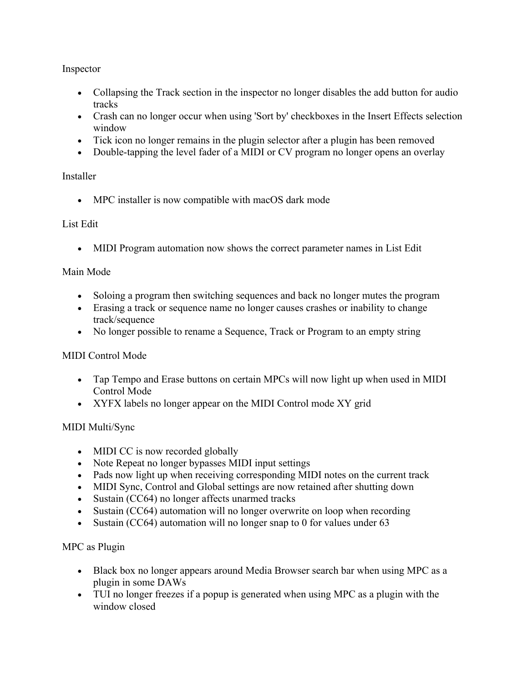# Inspector

- Collapsing the Track section in the inspector no longer disables the add button for audio tracks
- Crash can no longer occur when using 'Sort by' checkboxes in the Insert Effects selection window
- Tick icon no longer remains in the plugin selector after a plugin has been removed
- Double-tapping the level fader of a MIDI or CV program no longer opens an overlay

# Installer

• MPC installer is now compatible with macOS dark mode

# List Edit

• MIDI Program automation now shows the correct parameter names in List Edit

### Main Mode

- Soloing a program then switching sequences and back no longer mutes the program
- Erasing a track or sequence name no longer causes crashes or inability to change track/sequence
- No longer possible to rename a Sequence, Track or Program to an empty string

# MIDI Control Mode

- Tap Tempo and Erase buttons on certain MPCs will now light up when used in MIDI Control Mode
- XYFX labels no longer appear on the MIDI Control mode XY grid

# MIDI Multi/Sync

- MIDI CC is now recorded globally
- Note Repeat no longer bypasses MIDI input settings
- Pads now light up when receiving corresponding MIDI notes on the current track
- MIDI Sync, Control and Global settings are now retained after shutting down
- Sustain (CC64) no longer affects unarmed tracks
- Sustain (CC64) automation will no longer overwrite on loop when recording
- Sustain (CC64) automation will no longer snap to 0 for values under 63

# MPC as Plugin

- Black box no longer appears around Media Browser search bar when using MPC as a plugin in some DAWs
- TUI no longer freezes if a popup is generated when using MPC as a plugin with the window closed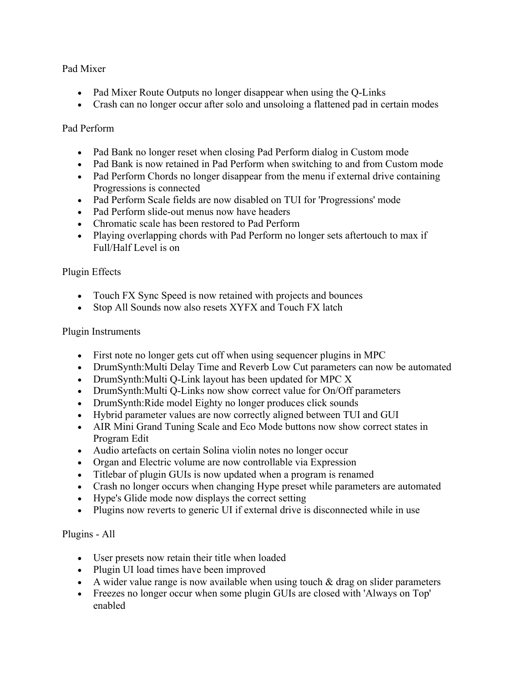# Pad Mixer

- Pad Mixer Route Outputs no longer disappear when using the Q-Links
- Crash can no longer occur after solo and unsoloing a flattened pad in certain modes

### Pad Perform

- Pad Bank no longer reset when closing Pad Perform dialog in Custom mode
- Pad Bank is now retained in Pad Perform when switching to and from Custom mode
- Pad Perform Chords no longer disappear from the menu if external drive containing Progressions is connected
- Pad Perform Scale fields are now disabled on TUI for 'Progressions' mode
- Pad Perform slide-out menus now have headers
- Chromatic scale has been restored to Pad Perform
- Playing overlapping chords with Pad Perform no longer sets aftertouch to max if Full/Half Level is on

# Plugin Effects

- Touch FX Sync Speed is now retained with projects and bounces
- Stop All Sounds now also resets XYFX and Touch FX latch

### Plugin Instruments

- First note no longer gets cut off when using sequencer plugins in MPC
- DrumSynth: Multi Delay Time and Reverb Low Cut parameters can now be automated
- DrumSynth: Multi Q-Link layout has been updated for MPC X
- DrumSynth: Multi Q-Links now show correct value for On/Off parameters
- DrumSynth:Ride model Eighty no longer produces click sounds
- Hybrid parameter values are now correctly aligned between TUI and GUI
- AIR Mini Grand Tuning Scale and Eco Mode buttons now show correct states in Program Edit
- Audio artefacts on certain Solina violin notes no longer occur
- Organ and Electric volume are now controllable via Expression
- Titlebar of plugin GUIs is now updated when a program is renamed
- Crash no longer occurs when changing Hype preset while parameters are automated
- Hype's Glide mode now displays the correct setting
- Plugins now reverts to generic UI if external drive is disconnected while in use

# Plugins - All

- User presets now retain their title when loaded
- Plugin UI load times have been improved
- A wider value range is now available when using touch  $\&$  drag on slider parameters
- Freezes no longer occur when some plugin GUIs are closed with 'Always on Top' enabled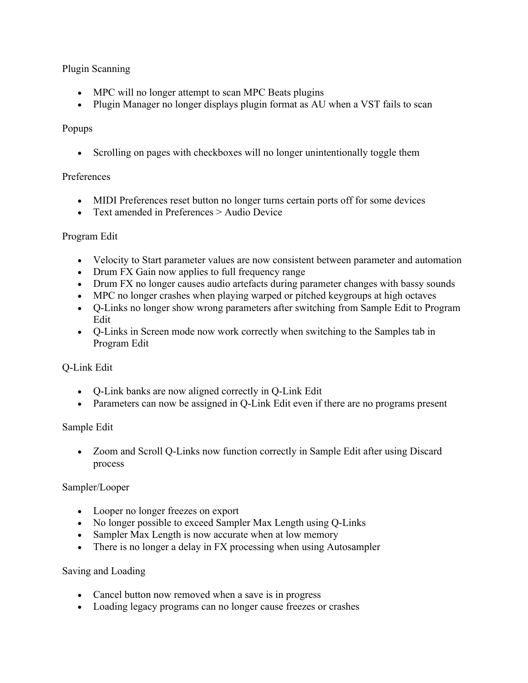# Plugin Scanning

- MPC will no longer attempt to scan MPC Beats plugins
- Plugin Manager no longer displays plugin format as AU when a VST fails to scan

# Popups

• Scrolling on pages with checkboxes will no longer unintentionally toggle them

### Preferences

- MIDI Preferences reset button no longer turns certain ports off for some devices
- Text amended in Preferences > Audio Device

### Program Edit

- Velocity to Start parameter values are now consistent between parameter and automation
- Drum FX Gain now applies to full frequency range
- Drum FX no longer causes audio artefacts during parameter changes with bassy sounds
- MPC no longer crashes when playing warped or pitched keygroups at high octaves
- Q-Links no longer show wrong parameters after switching from Sample Edit to Program Edit
- Q-Links in Screen mode now work correctly when switching to the Samples tab in Program Edit

# Q-Link Edit

- Q-Link banks are now aligned correctly in Q-Link Edit
- Parameters can now be assigned in Q-Link Edit even if there are no programs present

# Sample Edit

• Zoom and Scroll Q-Links now function correctly in Sample Edit after using Discard process

# Sampler/Looper

- Looper no longer freezes on export
- No longer possible to exceed Sampler Max Length using Q-Links
- Sampler Max Length is now accurate when at low memory
- There is no longer a delay in FX processing when using Autosampler

#### Saving and Loading

- Cancel button now removed when a save is in progress
- Loading legacy programs can no longer cause freezes or crashes